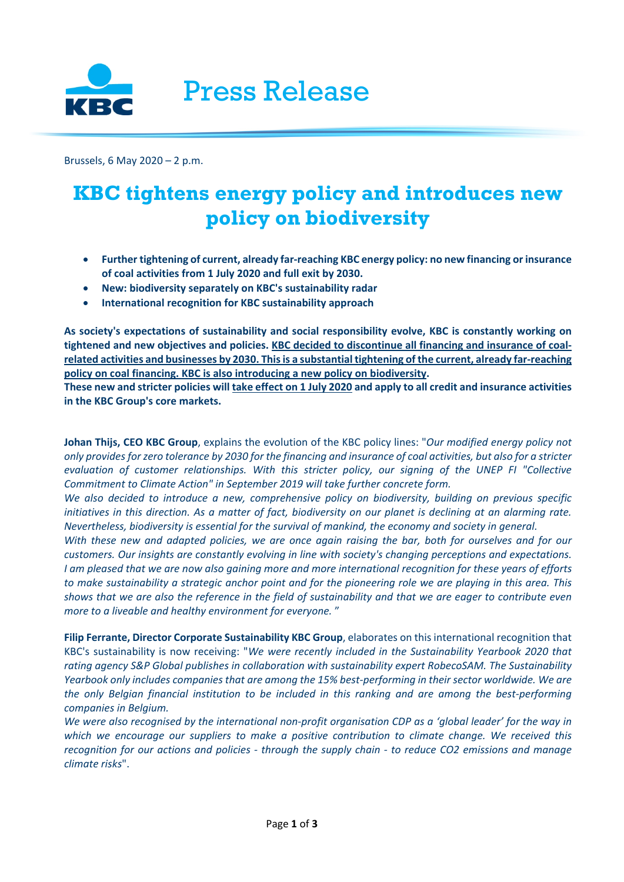

Brussels, 6 May 2020 – 2 p.m.

# **KBC tightens energy policy and introduces new policy on biodiversity**

- **Further tightening of current, already far-reaching KBC energy policy: no new financing or insurance of coal activities from 1 July 2020 and full exit by 2030.**
- **New: biodiversity separately on KBC's sustainability radar**
- **International recognition for KBC sustainability approach**

**As society's expectations of sustainability and social responsibility evolve, KBC is constantly working on tightened and new objectives and policies. KBC decided to discontinue all financing and insurance of coalrelated activities and businesses by 2030. This is a substantial tightening of the current, already far-reaching policy on coal financing. KBC is also introducing a new policy on biodiversity.** 

**These new and stricter policies will take effect on 1 July 2020 and apply to all credit and insurance activities in the KBC Group's core markets.**

**Johan Thijs, CEO KBC Group**, explains the evolution of the KBC policy lines: "*Our modified energy policy not only provides for zero tolerance by 2030 for the financing and insurance of coal activities, but also for a stricter evaluation of customer relationships. With this stricter policy, our signing of the UNEP FI "Collective Commitment to Climate Action" in September 2019 will take further concrete form.* 

*We also decided to introduce a new, comprehensive policy on biodiversity, building on previous specific initiatives in this direction. As a matter of fact, biodiversity on our planet is declining at an alarming rate. Nevertheless, biodiversity is essential for the survival of mankind, the economy and society in general.* 

*With these new and adapted policies, we are once again raising the bar, both for ourselves and for our customers. Our insights are constantly evolving in line with society's changing perceptions and expectations. I am pleased that we are now also gaining more and more international recognition for these years of efforts to make sustainability a strategic anchor point and for the pioneering role we are playing in this area. This shows that we are also the reference in the field of sustainability and that we are eager to contribute even more to a liveable and healthy environment for everyone.* "

**Filip Ferrante, Director Corporate Sustainability KBC Group**, elaborates on this international recognition that KBC's sustainability is now receiving: "*We were recently included in the Sustainability Yearbook 2020 that rating agency S&P Global publishes in collaboration with sustainability expert RobecoSAM. The Sustainability Yearbook only includes companies that are among the 15% best-performing in their sector worldwide. We are the only Belgian financial institution to be included in this ranking and are among the best-performing companies in Belgium.* 

*We were also recognised by the international non-profit organisation CDP as a 'global leader' for the way in which we encourage our suppliers to make a positive contribution to climate change. We received this recognition for our actions and policies - through the supply chain - to reduce CO2 emissions and manage climate risks*".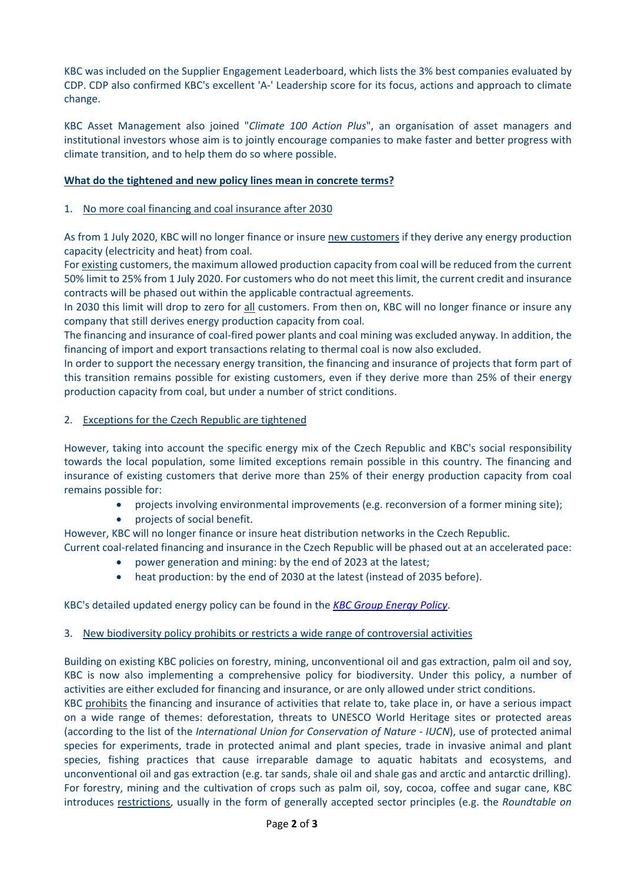KBC was included on the Supplier Engagement Leaderboard, which lists the 3% best companies evaluated by CDP. CDP also confirmed KBC's excellent 'A-' Leadership score for its focus, actions and approach to climate change.

KBC Asset Management also joined "*Climate 100 Action Plus*", an organisation of asset managers and institutional investors whose aim is to jointly encourage companies to make faster and better progress with climate transition, and to help them do so where possible.

## **What do the tightened and new policy lines mean in concrete terms?**

### 1. No more coal financing and coal insurance after 2030

As from 1 July 2020, KBC will no longer finance or insure new customers if they derive any energy production capacity (electricity and heat) from coal.

For existing customers, the maximum allowed production capacity from coal will be reduced from the current 50% limit to 25% from 1 July 2020. For customers who do not meet this limit, the current credit and insurance contracts will be phased out within the applicable contractual agreements.

In 2030 this limit will drop to zero for all customers. From then on, KBC will no longer finance or insure any company that still derives energy production capacity from coal.

The financing and insurance of coal-fired power plants and coal mining was excluded anyway. In addition, the financing of import and export transactions relating to thermal coal is now also excluded.

In order to support the necessary energy transition, the financing and insurance of projects that form part of this transition remains possible for existing customers, even if they derive more than 25% of their energy production capacity from coal, but under a number of strict conditions.

#### 2. Exceptions for the Czech Republic are tightened

However, taking into account the specific energy mix of the Czech Republic and KBC's social responsibility towards the local population, some limited exceptions remain possible in this country. The financing and insurance of existing customers that derive more than 25% of their energy production capacity from coal remains possible for:

- projects involving environmental improvements (e.g. reconversion of a former mining site);
- projects of social benefit.

However, KBC will no longer finance or insure heat distribution networks in the Czech Republic.

Current coal-related financing and insurance in the Czech Republic will be phased out at an accelerated pace:

- power generation and mining: by the end of 2023 at the latest;
- heat production: by the end of 2030 at the latest (instead of 2035 before).

#### KBC's detailed updated energy policy can be found in the *[KBC Group Energy Policy](https://www.kbc.com/content/dam/kbccom/doc/sustainability-reponsability/FrameworkPolicies/CSD_KBCGroupEnergyPolicy_May2020.pdf)*.

#### 3. New biodiversity policy prohibits or restricts a wide range of controversial activities

Building on existing KBC policies on forestry, mining, unconventional oil and gas extraction, palm oil and soy, KBC is now also implementing a comprehensive policy for biodiversity. Under this policy, a number of activities are either excluded for financing and insurance, or are only allowed under strict conditions.

KBC prohibits the financing and insurance of activities that relate to, take place in, or have a serious impact on a wide range of themes: deforestation, threats to UNESCO World Heritage sites or protected areas (according to the list of the *International Union for Conservation of Nature - IUCN*), use of protected animal species for experiments, trade in protected animal and plant species, trade in invasive animal and plant species, fishing practices that cause irreparable damage to aquatic habitats and ecosystems, and unconventional oil and gas extraction (e.g. tar sands, shale oil and shale gas and arctic and antarctic drilling). For forestry, mining and the cultivation of crops such as palm oil, soy, cocoa, coffee and sugar cane, KBC introduces restrictions, usually in the form of generally accepted sector principles (e.g. the *Roundtable on*